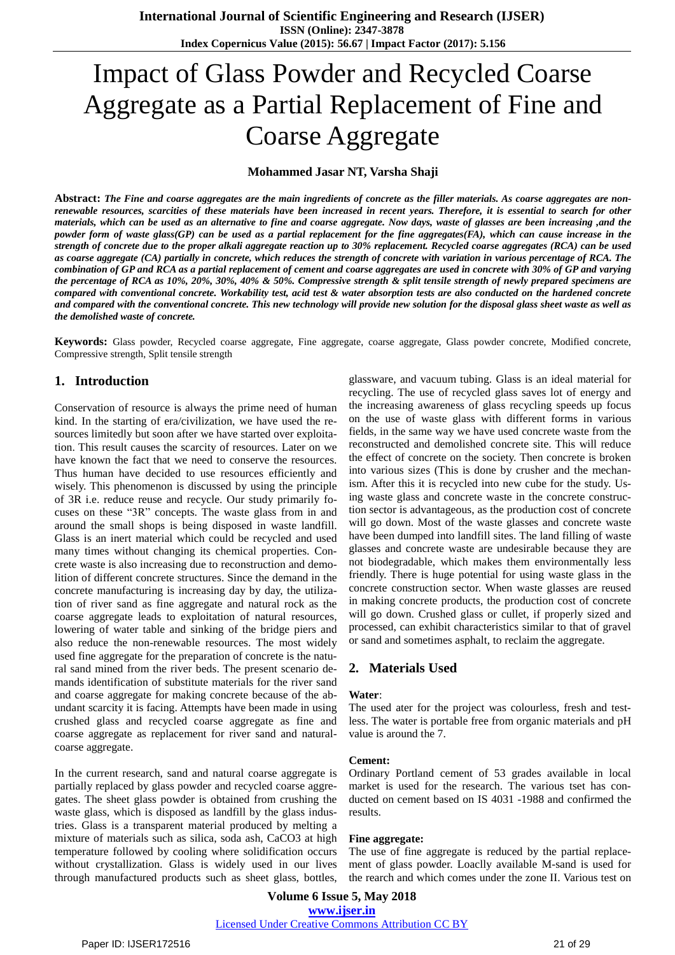# Impact of Glass Powder and Recycled Coarse Aggregate as a Partial Replacement of Fine and Coarse Aggregate

**Mohammed Jasar NT, Varsha Shaji**

Abstract: The Fine and coarse aggregates are the main ingredients of concrete as the filler materials. As coarse aggregates are nonrenewable resources, scarcities of these materials have been increased in recent years. Therefore, it is essential to search for other materials, which can be used as an alternative to fine and coarse aggregate. Now days, waste of glasses are been increasing ,and the powder form of waste glass(GP) can be used as a partial replacement for the fine aggregates(FA), which can cause increase in the strength of concrete due to the proper alkali aggregate reaction up to 30% replacement. Recycled coarse aggregates (RCA) can be used as coarse aggregate (CA) partially in concrete, which reduces the strength of concrete with variation in various percentage of RCA. The combination of GP and RCA as a partial replacement of cement and coarse aggregates are used in concrete with 30% of GP and varying the percentage of RCA as 10%, 20%, 30%, 40% & 50%. Compressive strength & split tensile strength of newly prepared specimens are compared with conventional concrete. Workability test, acid test & water absorption tests are also conducted on the hardened concrete and compared with the conventional concrete. This new technology will provide new solution for the disposal glass sheet waste as well as *the demolished waste of concrete.*

**Keywords:** Glass powder, Recycled coarse aggregate, Fine aggregate, coarse aggregate, Glass powder concrete, Modified concrete, Compressive strength, Split tensile strength

# **1. Introduction**

Conservation of resource is always the prime need of human kind. In the starting of era/civilization, we have used the resources limitedly but soon after we have started over exploitation. This result causes the scarcity of resources. Later on we have known the fact that we need to conserve the resources. Thus human have decided to use resources efficiently and wisely. This phenomenon is discussed by using the principle of 3R i.e. reduce reuse and recycle. Our study primarily focuses on these "3R" concepts. The waste glass from in and around the small shops is being disposed in waste landfill. Glass is an inert material which could be recycled and used many times without changing its chemical properties. Concrete waste is also increasing due to reconstruction and demolition of different concrete structures. Since the demand in the concrete manufacturing is increasing day by day, the utilization of river sand as fine aggregate and natural rock as the coarse aggregate leads to exploitation of natural resources, lowering of water table and sinking of the bridge piers and also reduce the non-renewable resources. The most widely used fine aggregate for the preparation of concrete is the natural sand mined from the river beds. The present scenario demands identification of substitute materials for the river sand and coarse aggregate for making concrete because of the abundant scarcity it is facing. Attempts have been made in using crushed glass and recycled coarse aggregate as fine and coarse aggregate as replacement for river sand and naturalcoarse aggregate.

In the current research, sand and natural coarse aggregate is partially replaced by glass powder and recycled coarse aggregates. The sheet glass powder is obtained from crushing the waste glass, which is disposed as landfill by the glass industries. Glass is a transparent material produced by melting a mixture of materials such as silica, soda ash, CaCO3 at high temperature followed by cooling where solidification occurs without crystallization. Glass is widely used in our lives through manufactured products such as sheet glass, bottles, glassware, and vacuum tubing. Glass is an ideal material for recycling. The use of recycled glass saves lot of energy and the increasing awareness of glass recycling speeds up focus on the use of waste glass with different forms in various fields, in the same way we have used concrete waste from the reconstructed and demolished concrete site. This will reduce the effect of concrete on the society. Then concrete is broken into various sizes (This is done by crusher and the mechanism. After this it is recycled into new cube for the study. Using waste glass and concrete waste in the concrete construction sector is advantageous, as the production cost of concrete will go down. Most of the waste glasses and concrete waste have been dumped into landfill sites. The land filling of waste glasses and concrete waste are undesirable because they are not biodegradable, which makes them environmentally less friendly. There is huge potential for using waste glass in the concrete construction sector. When waste glasses are reused in making concrete products, the production cost of concrete will go down. Crushed glass or cullet, if properly sized and processed, can exhibit characteristics similar to that of gravel or sand and sometimes asphalt, to reclaim the aggregate.

# **2. Materials Used**

# **Water**:

The used ater for the project was colourless, fresh and testless. The water is portable free from organic materials and pH value is around the 7.

#### **Cement:**

Ordinary Portland cement of 53 grades available in local market is used for the research. The various tset has conducted on cement based on IS 4031 -1988 and confirmed the results.

#### **Fine aggregate:**

The use of fine aggregate is reduced by the partial replacement of glass powder. Loaclly available M-sand is used for the rearch and which comes under the zone II. Various test on

**Volume 6 Issue 5, May 2018 [www.ijser.in](file:///G:\www.ijser.in\Documents\www.ijser.in)** [Licensed Under Creative Commons Attribution CC BY](http://creativecommons.org/licenses/by/4.0/)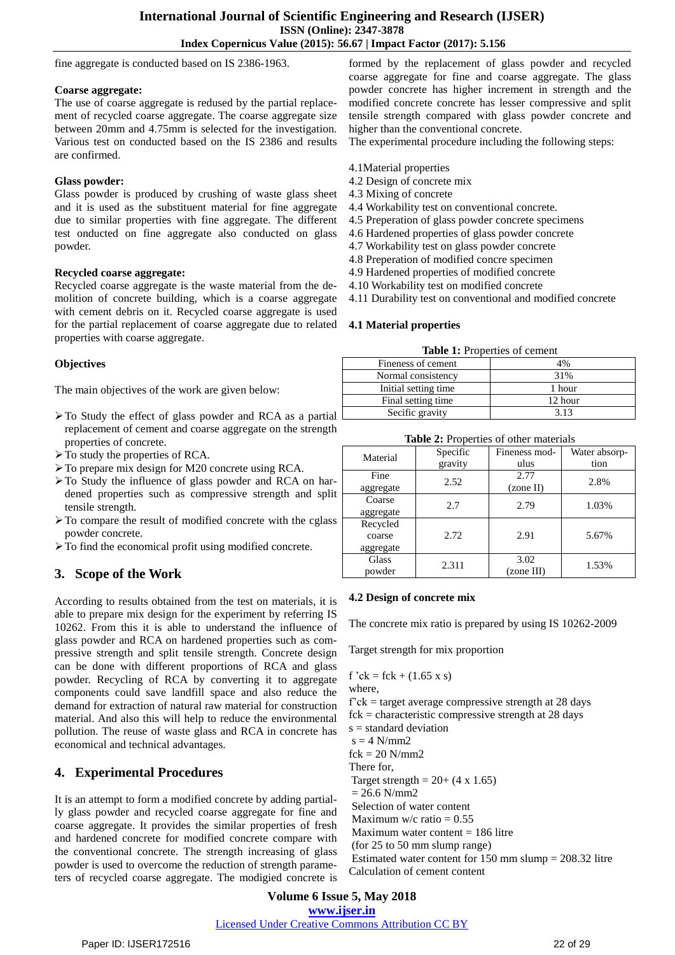fine aggregate is conducted based on IS 2386-1963.

# **Coarse aggregate:**

The use of coarse aggregate is redused by the partial replacement of recycled coarse aggregate. The coarse aggregate size between 20mm and 4.75mm is selected for the investigation. Various test on conducted based on the IS 2386 and results are confirmed.

# **Glass powder:**

Glass powder is produced by crushing of waste glass sheet and it is used as the substituent material for fine aggregate due to similar properties with fine aggregate. The different test onducted on fine aggregate also conducted on glass powder.

## **Recycled coarse aggregate:**

Recycled coarse aggregate is the waste material from the demolition of concrete building, which is a coarse aggregate with cement debris on it. Recycled coarse aggregate is used for the partial replacement of coarse aggregate due to related **4.1 Material properties** properties with coarse aggregate.

# **Objectives**

The main objectives of the work are given below:

- $\triangleright$  To Study the effect of glass powder and RCA as a partial  $\lfloor$ replacement of cement and coarse aggregate on the strength properties of concrete.
- $\triangleright$  To study the properties of RCA.
- $\triangleright$  To prepare mix design for M20 concrete using RCA.
- > To Study the influence of glass powder and RCA on hardened properties such as compressive strength and split tensile strength.
- $\triangleright$  To compare the result of modified concrete with the cglass powder concrete.
- To find the economical profit using modified concrete.

# **3. Scope of the Work**

According to results obtained from the test on materials, it is able to prepare mix design for the experiment by referring IS 10262. From this it is able to understand the influence of glass powder and RCA on hardened properties such as compressive strength and split tensile strength. Concrete design can be done with different proportions of RCA and glass powder. Recycling of RCA by converting it to aggregate components could save landfill space and also reduce the demand for extraction of natural raw material for construction material. And also this will help to reduce the environmental pollution. The reuse of waste glass and RCA in concrete has economical and technical advantages.

# **4. Experimental Procedures**

It is an attempt to form a modified concrete by adding partially glass powder and recycled coarse aggregate for fine and coarse aggregate. It provides the similar properties of fresh and hardened concrete for modified concrete compare with the conventional concrete. The strength increasing of glass powder is used to overcome the reduction of strength parameters of recycled coarse aggregate. The modigied concrete is

formed by the replacement of glass powder and recycled coarse aggregate for fine and coarse aggregate. The glass powder concrete has higher increment in strength and the modified concrete concrete has lesser compressive and split tensile strength compared with glass powder concrete and higher than the conventional concrete.

The experimental procedure including the following steps:

- 4.1Material properties
- 4.2 Design of concrete mix
- 4.3 Mixing of concrete
- 4.4 Workability test on conventional concrete.
- 4.5 Preperation of glass powder concrete specimens
- 4.6 Hardened properties of glass powder concrete
- 4.7 Workability test on glass powder concrete
- 4.8 Preperation of modified concre specimen
- 4.9 Hardened properties of modified concrete
- 4.10 Workability test on modified concrete
- 4.11 Durability test on conventional and modified concrete

| Fineness of cement    | 4%      |
|-----------------------|---------|
| Normal consistency    | 31%     |
| Initial setting time. | 1 hour  |
| Final setting time    | 12 hour |
| Secific gravity       | 3 13    |

| Table 2: Properties of other materials |                     |                       |                       |  |  |
|----------------------------------------|---------------------|-----------------------|-----------------------|--|--|
| Material                               | Specific<br>gravity | Fineness mod-<br>ulus | Water absorp-<br>tion |  |  |
| Fine<br>aggregate                      | 2.52                | 2.77<br>(zone II)     | 2.8%                  |  |  |
| Coarse<br>aggregate                    | 2.7                 | 2.79                  | 1.03%                 |  |  |
| Recycled<br>coarse<br>aggregate        | 2.72                | 2.91                  | 5.67%                 |  |  |
| Glass<br>powder                        | 2.311               | 3.02<br>(zone III)    | 1.53%                 |  |  |

### **4.2 Design of concrete mix**

The concrete mix ratio is prepared by using IS 10262-2009

Target strength for mix proportion

f 'ck = fck +  $(1.65 \text{ x s})$ where,  $f'ck = target average compressive strength at 28 days$  $fck = characteristic compressive strength at 28 days$  $s =$  standard deviation  $s = 4$  N/mm2  $fck = 20$  N/mm2 There for, Target strength =  $20+(4 \times 1.65)$  $= 26.6$  N/mm2 Selection of water content Maximum w/c ratio  $= 0.55$ Maximum water content  $= 186$  litre (for 25 to 50 mm slump range) Estimated water content for 150 mm slump = 208.32 litre Calculation of cement content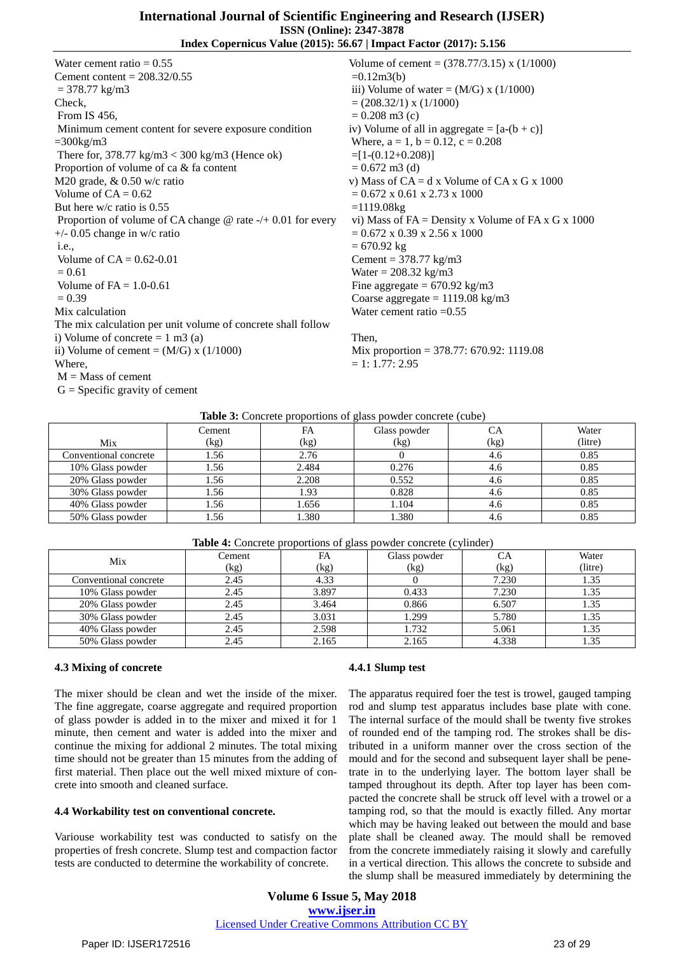Water cement ratio  $= 0.55$ Cement content =  $208.32/0.55$  $= 378.77$  kg/m3 Check, From IS 456, Minimum cement content for severe exposure condition  $=300$ kg/m3 There for, 378.77 kg/m3 < 300 kg/m3 (Hence ok) Proportion of volume of ca & fa content M20 grade, & 0.50 w/c ratio Volume of  $CA = 0.62$ But here w/c ratio is 0.55 Proportion of volume of CA change @ rate -/+ 0.01 for every +/- 0.05 change in w/c ratio  $i.e.$ Volume of  $CA = 0.62 - 0.01$  $= 0.61$ Volume of  $FA = 1.0 - 0.61$  $= 0.39$ Mix calculation The mix calculation per unit volume of concrete shall follow i) Volume of concrete  $= 1$  m3 (a) ii) Volume of cement =  $(M/G)$  x  $(1/1000)$ Where,  $M =$ Mass of cement  $G =$  Specific gravity of cement

Volume of cement = (378.77/3.15) x (1/1000)  $=0.12m3(b)$ iii) Volume of water =  $(M/G)$  x  $(1/1000)$  $= (208.32/1)$  x  $(1/1000)$  $= 0.208$  m3 (c) iv) Volume of all in aggregate =  $[a-(b+c)]$ Where,  $a = 1$ ,  $b = 0.12$ ,  $c = 0.208$  $=[1-(0.12+0.208)]$  $= 0.672$  m3 (d) v) Mass of  $CA = d$  x Volume of  $CA \times G \times 1000$  $= 0.672 \times 0.61 \times 2.73 \times 1000$  $=1119.08kg$ vi) Mass of  $FA = Density x$  Volume of  $FA x G x 1000$  $= 0.672 \times 0.39 \times 2.56 \times 1000$  $= 670.92 \text{ kg}$ Cement =  $378.77 \text{ kg/m}$ 3 Water =  $208.32 \text{ kg/m}3$ Fine aggregate  $= 670.92$  kg/m3 Coarse aggregate  $= 1119.08 \text{ kg/m}3$ Water cement ratio  $=0.55$ 

#### Then,

Mix proportion = 378.77: 670.92: 1119.08  $= 1: 1.77: 2.95$ 

| <b>Table 3:</b> Concrete proportions of glass powder concrete (cube) |  |  |
|----------------------------------------------------------------------|--|--|
|                                                                      |  |  |

|                       | Cement | FA    | Glass powder | СA   | Water   |
|-----------------------|--------|-------|--------------|------|---------|
| Mix                   | (kg)   | (kg)  | (kg)         | (kg) | (litre) |
| Conventional concrete | 1.56   | 2.76  |              | 4.6  | 0.85    |
| 10% Glass powder      | 1.56   | 2.484 | 0.276        | 4.6  | 0.85    |
| 20% Glass powder      | 1.56   | 2.208 | 0.552        | 4.6  | 0.85    |
| 30% Glass powder      | 1.56   | 1.93  | 0.828        | 4.6  | 0.85    |
| 40% Glass powder      | 1.56   | 1.656 | 1.104        | 4.6  | 0.85    |
| 50% Glass powder      | . . 56 | 1.380 | 1.380        | 4.6  | 0.85    |

# **Table 4:** Concrete proportions of glass powder concrete (cylinder)

| <b>Thore</b> is concrete proportions of grass powder concrete (equilibring |        |       |              |       |         |
|----------------------------------------------------------------------------|--------|-------|--------------|-------|---------|
| Mix                                                                        | Cement | FA    | Glass powder | СA    | Water   |
|                                                                            | (kg)   | (kg)  | (kg)         | (kg)  | (litre) |
| Conventional concrete                                                      | 2.45   | 4.33  |              | 7.230 | 1.35    |
| 10% Glass powder                                                           | 2.45   | 3.897 | 0.433        | 7.230 | 1.35    |
| 20% Glass powder                                                           | 2.45   | 3.464 | 0.866        | 6.507 | 1.35    |
| 30% Glass powder                                                           | 2.45   | 3.031 | 1.299        | 5.780 | 1.35    |
| 40% Glass powder                                                           | 2.45   | 2.598 | 1.732        | 5.061 | 1.35    |
| 50% Glass powder                                                           | 2.45   | 2.165 | 2.165        | 4.338 |         |

#### **4.3 Mixing of concrete**

The mixer should be clean and wet the inside of the mixer. The fine aggregate, coarse aggregate and required proportion of glass powder is added in to the mixer and mixed it for 1 minute, then cement and water is added into the mixer and continue the mixing for addional 2 minutes. The total mixing time should not be greater than 15 minutes from the adding of first material. Then place out the well mixed mixture of concrete into smooth and cleaned surface.

#### **4.4 Workability test on conventional concrete.**

Variouse workability test was conducted to satisfy on the properties of fresh concrete. Slump test and compaction factor tests are conducted to determine the workability of concrete.

# **4.4.1 Slump test**

The apparatus required foer the test is trowel, gauged tamping rod and slump test apparatus includes base plate with cone. The internal surface of the mould shall be twenty five strokes of rounded end of the tamping rod. The strokes shall be distributed in a uniform manner over the cross section of the mould and for the second and subsequent layer shall be penetrate in to the underlying layer. The bottom layer shall be tamped throughout its depth. After top layer has been compacted the concrete shall be struck off level with a trowel or a tamping rod, so that the mould is exactly filled. Any mortar which may be having leaked out between the mould and base plate shall be cleaned away. The mould shall be removed from the concrete immediately raising it slowly and carefully in a vertical direction. This allows the concrete to subside and the slump shall be measured immediately by determining the

**Volume 6 Issue 5, May 2018 [www.ijser.in](file:///G:\www.ijser.in\Documents\www.ijser.in)** [Licensed Under Creative Commons Attribution CC BY](http://creativecommons.org/licenses/by/4.0/)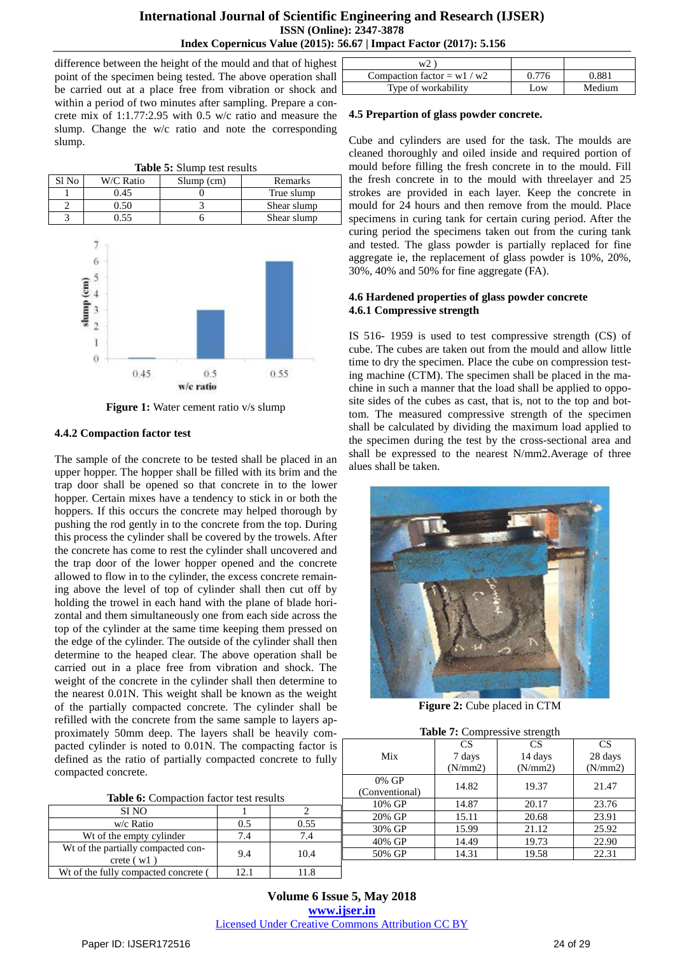difference between the height of the mould and that of highest point of the specimen being tested. The above operation shall be carried out at a place free from vibration or shock and within a period of two minutes after sampling. Prepare a concrete mix of 1:1.77:2.95 with 0.5 w/c ratio and measure the slump. Change the w/c ratio and note the corresponding slump.

|       | Tapic 9. Digitiv test results |              |             |  |  |  |
|-------|-------------------------------|--------------|-------------|--|--|--|
| Sl No | W/C Ratio                     | $Slump$ (cm) | Remarks     |  |  |  |
|       | 0.45                          |              | True slump  |  |  |  |
|       | 0.50                          |              | Shear slump |  |  |  |
|       | 1.55                          |              | Shear slump |  |  |  |

**Table 5:** Slump test results



**Figure 1:** Water cement ratio v/s slump

# **4.4.2 Compaction factor test**

The sample of the concrete to be tested shall be placed in an upper hopper. The hopper shall be filled with its brim and the trap door shall be opened so that concrete in to the lower hopper. Certain mixes have a tendency to stick in or both the hoppers. If this occurs the concrete may helped thorough by pushing the rod gently in to the concrete from the top. During this process the cylinder shall be covered by the trowels. After the concrete has come to rest the cylinder shall uncovered and the trap door of the lower hopper opened and the concrete allowed to flow in to the cylinder, the excess concrete remaining above the level of top of cylinder shall then cut off by holding the trowel in each hand with the plane of blade horizontal and them simultaneously one from each side across the top of the cylinder at the same time keeping them pressed on the edge of the cylinder. The outside of the cylinder shall then determine to the heaped clear. The above operation shall be carried out in a place free from vibration and shock. The weight of the concrete in the cylinder shall then determine to the nearest 0.01N. This weight shall be known as the weight of the partially compacted concrete. The cylinder shall be refilled with the concrete from the same sample to layers approximately 50mm deep. The layers shall be heavily compacted cylinder is noted to 0.01N. The compacting factor is defined as the ratio of partially compacted concrete to fully compacted concrete.

| <b>Table 6:</b> Compaction factor test results |  |      |  |
|------------------------------------------------|--|------|--|
| SI NO                                          |  |      |  |
| w/c Ratio                                      |  | 0.55 |  |

9.4 10.4

Wt of the empty cylinder  $\begin{array}{|c|c|c|c|c|} \hline 7.4 & 7.4 \end{array}$  7.4

Wt of the fully compacted concrete ( 12.1 11.8

| w <sup>2</sup>              |       |        |
|-----------------------------|-------|--------|
| Compaction factor = $w1/w2$ | በ 776 | ).881  |
| Type of workability         | Low   | Medium |

# **4.5 Prepartion of glass powder concrete.**

Cube and cylinders are used for the task. The moulds are cleaned thoroughly and oiled inside and required portion of mould before filling the fresh concrete in to the mould. Fill the fresh concrete in to the mould with threelayer and 25 strokes are provided in each layer. Keep the concrete in mould for 24 hours and then remove from the mould. Place specimens in curing tank for certain curing period. After the curing period the specimens taken out from the curing tank and tested. The glass powder is partially replaced for fine aggregate ie, the replacement of glass powder is 10%, 20%, 30%, 40% and 50% for fine aggregate (FA).

# **4.6 Hardened properties of glass powder concrete 4.6.1 Compressive strength**

IS 516- 1959 is used to test compressive strength (CS) of cube. The cubes are taken out from the mould and allow little time to dry the specimen. Place the cube on compression testing machine (CTM). The specimen shall be placed in the machine in such a manner that the load shall be applied to opposite sides of the cubes as cast, that is, not to the top and bottom. The measured compressive strength of the specimen shall be calculated by dividing the maximum load applied to the specimen during the test by the cross-sectional area and shall be expressed to the nearest N/mm2.Average of three alues shall be taken.



**Figure 2:** Cube placed in CTM

|  |  | Table 7: Compressive strength |
|--|--|-------------------------------|
|  |  |                               |

| ı  | $\ldots$                |           |           |           |  |  |
|----|-------------------------|-----------|-----------|-----------|--|--|
| is |                         | <b>CS</b> | <b>CS</b> | <b>CS</b> |  |  |
| у  | Mix                     | 7 days    | 14 days   | 28 days   |  |  |
|    |                         | (N/mm 2)  | (N/mm 2)  | (N/mm2)   |  |  |
|    | 0% GP<br>(Conventional) | 14.82     | 19.37     | 21.47     |  |  |
|    | 10% GP                  | 14.87     | 20.17     | 23.76     |  |  |
|    | 20% GP                  | 15.11     | 20.68     | 23.91     |  |  |
|    | 30% GP                  | 15.99     | 21.12     | 25.92     |  |  |
|    | 40% GP                  | 14.49     | 19.73     | 22.90     |  |  |
|    | 50% GP                  | 14.31     | 19.58     | 22.31     |  |  |
|    |                         |           |           |           |  |  |

**Volume 6 Issue 5, May 2018 [www.ijser.in](file:///G:\www.ijser.in\Documents\www.ijser.in)** [Licensed Under Creative Commons Attribution CC BY](http://creativecommons.org/licenses/by/4.0/)

Wt of the partially compacted concrete ( w1 )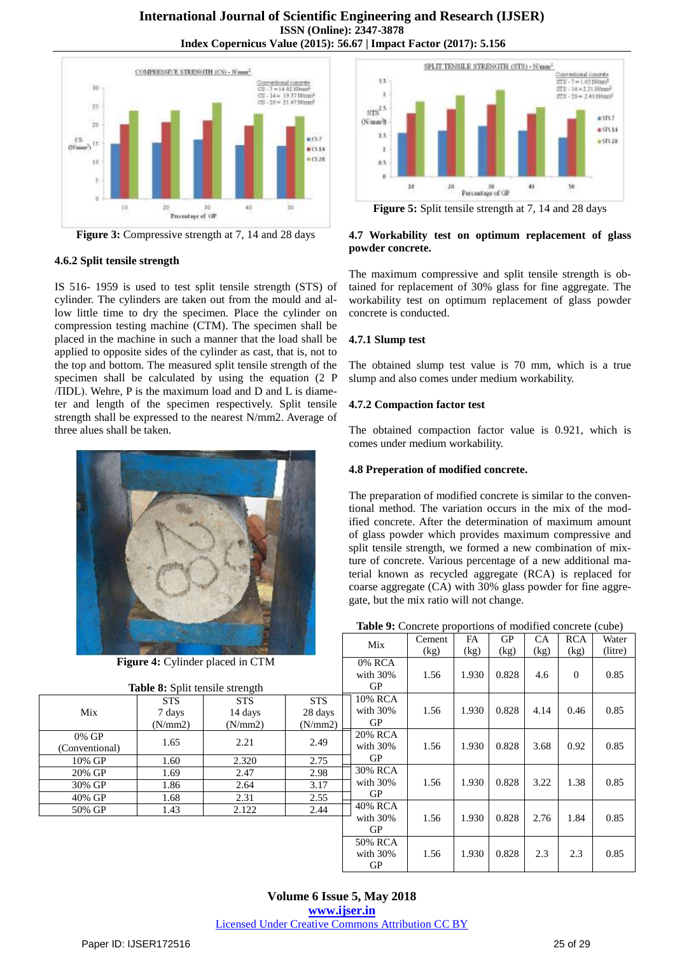

**Figure 3:** Compressive strength at 7, 14 and 28 days

# **4.6.2 Split tensile strength**

IS 516- 1959 is used to test split tensile strength (STS) of cylinder. The cylinders are taken out from the mould and allow little time to dry the specimen. Place the cylinder on compression testing machine (CTM). The specimen shall be placed in the machine in such a manner that the load shall be applied to opposite sides of the cylinder as cast, that is, not to the top and bottom. The measured split tensile strength of the specimen shall be calculated by using the equation (2 P /ΠDL). Wehre, P is the maximum load and D and L is diameter and length of the specimen respectively. Split tensile strength shall be expressed to the nearest N/mm2. Average of three alues shall be taken.





**Figure 5:** Split tensile strength at 7, 14 and 28 days

# **4.7 Workability test on optimum replacement of glass powder concrete.**

The maximum compressive and split tensile strength is obtained for replacement of 30% glass for fine aggregate. The workability test on optimum replacement of glass powder concrete is conducted.

# **4.7.1 Slump test**

The obtained slump test value is 70 mm, which is a true slump and also comes under medium workability.

# **4.7.2 Compaction factor test**

The obtained compaction factor value is 0.921, which is comes under medium workability.

# **4.8 Preperation of modified concrete.**

The preparation of modified concrete is similar to the conventional method. The variation occurs in the mix of the modified concrete. After the determination of maximum amount of glass powder which provides maximum compressive and split tensile strength, we formed a new combination of mixture of concrete. Various percentage of a new additional material known as recycled aggregate (RCA) is replaced for coarse aggregate (CA) with 30% glass powder for fine aggregate, but the mix ratio will not change.

| Table 9: Concrete proportions of modified concrete (cube) |  |  |
|-----------------------------------------------------------|--|--|
|-----------------------------------------------------------|--|--|

|                         |                                        |                                         |                     | Mix                          | Cement | <b>FA</b> | GP    | <b>CA</b> | <b>RCA</b> | Water   |
|-------------------------|----------------------------------------|-----------------------------------------|---------------------|------------------------------|--------|-----------|-------|-----------|------------|---------|
|                         |                                        |                                         |                     |                              | (kg)   | (kg)      | (kg)  | (kg)      | (kg)       | (litre) |
|                         | <b>Table 8:</b> Split tensile strength | <b>Figure 4:</b> Cylinder placed in CTM |                     | 0% RCA<br>with $30\%$<br>GP  | 1.56   | 1.930     | 0.828 | 4.6       | $\Omega$   | 0.85    |
|                         | <b>STS</b>                             | <b>STS</b>                              | <b>STS</b>          | 10% RCA                      |        |           |       |           |            |         |
| Mix                     | 7 days<br>(N/mm 2)                     | 14 days<br>(N/mm 2)                     | 28 days<br>(N/mm 2) | with $30\%$<br>GP            | 1.56   | 1.930     | 0.828 | 4.14      | 0.46       | 0.85    |
| 0% GP<br>(Conventional) | 1.65                                   | 2.21                                    | 2.49                | 20% RCA<br>with $30\%$       | 1.56   | 1.930     | 0.828 | 3.68      | 0.92       | 0.85    |
| 10% GP                  | 1.60                                   | 2.320                                   | 2.75                | GP                           |        |           |       |           |            |         |
| 20% GP                  | 1.69                                   | 2.47                                    | 2.98                | 30% RCA                      |        |           |       |           |            |         |
| 30% GP                  | 1.86                                   | 2.64                                    | 3.17                | with $30\%$                  | 1.56   | 1.930     | 0.828 | 3.22      | 1.38       | 0.85    |
| 40% GP                  | 1.68                                   | 2.31                                    | 2.55                | GP                           |        |           |       |           |            |         |
| 50% GP                  | 1.43                                   | 2.122                                   | 2.44                | 40% RCA                      |        |           |       |           |            |         |
|                         |                                        |                                         |                     | with $30\%$<br>GP            | 1.56   | 1.930     | 0.828 | 2.76      | 1.84       | 0.85    |
|                         |                                        |                                         |                     | 50% RCA<br>with $30\%$<br>GP | 1.56   | 1.930     | 0.828 | 2.3       | 2.3        | 0.85    |

**Volume 6 Issue 5, May 2018 [www.ijser.in](file:///G:\www.ijser.in\Documents\www.ijser.in)** [Licensed Under Creative Commons Attribution CC BY](http://creativecommons.org/licenses/by/4.0/)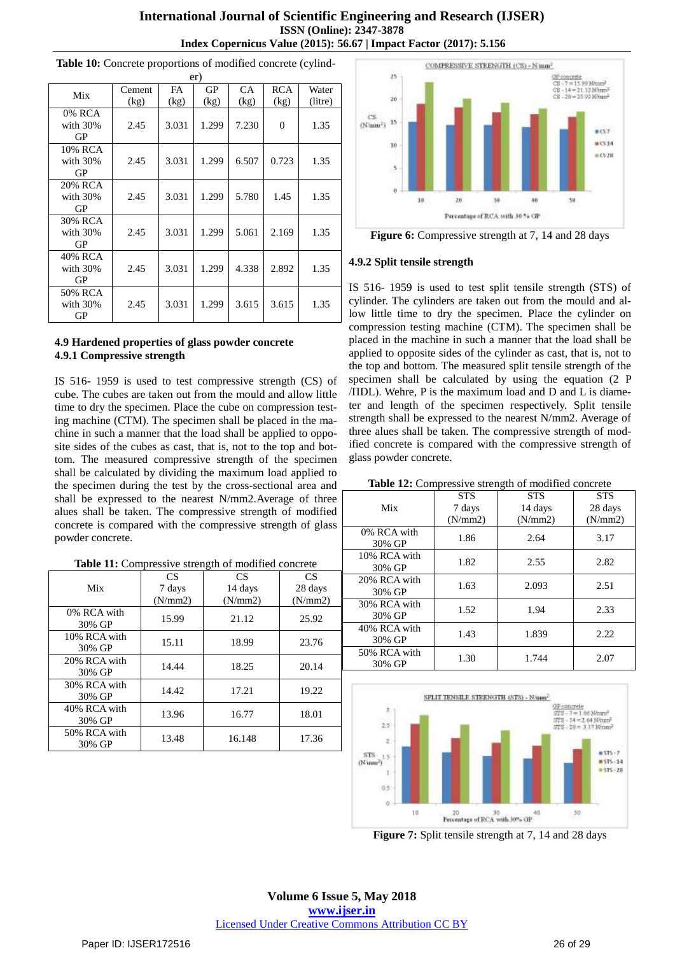# **International Journal of Scientific Engineering and Research (IJSER) ISSN (Online): 2347-3878 Index Copernicus Value (2015): 56.67 | Impact Factor (2017): 5.156**

|                |        |       | er)   |           |            |         |
|----------------|--------|-------|-------|-----------|------------|---------|
| Mix            | Cement | FA    | GP    | <b>CA</b> | <b>RCA</b> | Water   |
|                | (kg)   | (kg)  | (kg)  | (kg)      | (kg)       | (litre) |
| 0% RCA         |        |       |       |           |            |         |
| with 30%<br>GP | 2.45   | 3.031 | 1.299 | 7.230     | $\theta$   | 1.35    |
| 10% RCA        |        |       |       |           |            |         |
| with 30%       | 2.45   | 3.031 | 1.299 | 6.507     | 0.723      | 1.35    |
| GP             |        |       |       |           |            |         |
| 20% RCA        |        |       |       |           |            |         |
| with $30\%$    | 2.45   | 3.031 | 1.299 | 5.780     | 1.45       | 1.35    |
| GP             |        |       |       |           |            |         |
| 30% RCA        |        |       |       |           |            |         |
| with $30\%$    | 2.45   | 3.031 | 1.299 | 5.061     | 2.169      | 1.35    |
| GP             |        |       |       |           |            |         |
| 40% RCA        |        |       |       |           |            |         |
| with 30%       | 2.45   | 3.031 | 1.299 | 4.338     | 2.892      | 1.35    |
| GP             |        |       |       |           |            |         |
| 50% RCA        |        |       |       |           |            |         |
| with $30\%$    | 2.45   | 3.031 | 1.299 | 3.615     | 3.615      | 1.35    |
| GP             |        |       |       |           |            |         |

**Table 10:** Concrete proportions of modified concrete (cylind-

### **4.9 Hardened properties of glass powder concrete 4.9.1 Compressive strength**

IS 516- 1959 is used to test compressive strength (CS) of cube. The cubes are taken out from the mould and allow little time to dry the specimen. Place the cube on compression testing machine (CTM). The specimen shall be placed in the machine in such a manner that the load shall be applied to opposite sides of the cubes as cast, that is, not to the top and bottom. The measured compressive strength of the specimen shall be calculated by dividing the maximum load applied to the specimen during the test by the cross-sectional area and shall be expressed to the nearest N/mm2.Average of three alues shall be taken. The compressive strength of modified concrete is compared with the compressive strength of glass powder concrete.

| Table 11: Compressive strength of modified concrete |  |  |
|-----------------------------------------------------|--|--|
|                                                     |  |  |

|                        | <b>CS</b> | <b>CS</b> | <b>CS</b> |
|------------------------|-----------|-----------|-----------|
| Mix                    | 7 days    | 14 days   | 28 days   |
|                        | (N/mm 2)  | (N/mm 2)  | (N/mm 2)  |
| 0% RCA with<br>30% GP  | 15.99     | 21.12     | 25.92     |
| 10% RCA with<br>30% GP | 15.11     | 18.99     | 23.76     |
| 20% RCA with<br>30% GP | 14.44     | 18.25     | 20.14     |
| 30% RCA with<br>30% GP | 14.42     | 17.21     | 19.22     |
| 40% RCA with<br>30% GP | 13.96     | 16.77     | 18.01     |
| 50% RCA with<br>30% GP | 13.48     | 16.148    | 17.36     |



**Figure 6:** Compressive strength at 7, 14 and 28 days

## **4.9.2 Split tensile strength**

IS 516- 1959 is used to test split tensile strength (STS) of cylinder. The cylinders are taken out from the mould and allow little time to dry the specimen. Place the cylinder on compression testing machine (CTM). The specimen shall be placed in the machine in such a manner that the load shall be applied to opposite sides of the cylinder as cast, that is, not to the top and bottom. The measured split tensile strength of the specimen shall be calculated by using the equation (2 P /ΠDL). Wehre, P is the maximum load and D and L is diameter and length of the specimen respectively. Split tensile strength shall be expressed to the nearest N/mm2. Average of three alues shall be taken. The compressive strength of modified concrete is compared with the compressive strength of glass powder concrete.

#### **Table 12:** Compressive strength of modified concrete

|                        |            | o          |            |
|------------------------|------------|------------|------------|
|                        | <b>STS</b> | <b>STS</b> | <b>STS</b> |
| Mix                    | 7 days     | 14 days    | 28 days    |
|                        | (N/mm 2)   | (N/mm 2)   | (N/mm 2)   |
| 0% RCA with<br>30% GP  | 1.86       | 2.64       | 3.17       |
| 10% RCA with<br>30% GP | 1.82       | 2.55       | 2.82       |
| 20% RCA with<br>30% GP | 1.63       | 2.093      | 2.51       |
| 30% RCA with<br>30% GP | 1.52       | 1.94       | 2.33       |
| 40% RCA with<br>30% GP | 1.43       | 1.839      | 2.22       |
| 50% RCA with<br>30% GP | 1.30       | 1.744      | 2.07       |
|                        |            |            |            |



**Figure 7:** Split tensile strength at 7, 14 and 28 days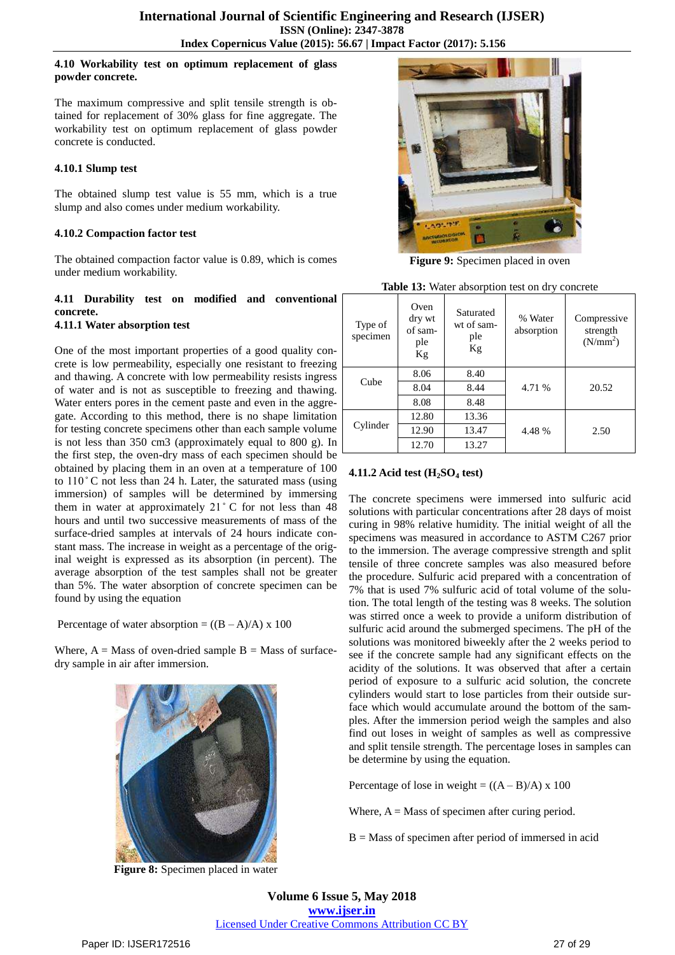# **4.10 Workability test on optimum replacement of glass powder concrete.**

The maximum compressive and split tensile strength is obtained for replacement of 30% glass for fine aggregate. The workability test on optimum replacement of glass powder concrete is conducted.

# **4.10.1 Slump test**

The obtained slump test value is 55 mm, which is a true slump and also comes under medium workability.

# **4.10.2 Compaction factor test**

The obtained compaction factor value is 0.89, which is comes under medium workability.

#### **4.11 Durability test on modified and conventional concrete. 4.11.1 Water absorption test**

One of the most important properties of a good quality concrete is low permeability, especially one resistant to freezing and thawing. A concrete with low permeability resists ingress of water and is not as susceptible to freezing and thawing. Water enters pores in the cement paste and even in the aggregate. According to this method, there is no shape limitation for testing concrete specimens other than each sample volume is not less than 350 cm3 (approximately equal to 800 g). In the first step, the oven-dry mass of each specimen should be obtained by placing them in an oven at a temperature of 100 to  $110^{\circ}$ C not less than 24 h. Later, the saturated mass (using immersion) of samples will be determined by immersing them in water at approximately  $21^{\circ}$  C for not less than 48 hours and until two successive measurements of mass of the surface-dried samples at intervals of 24 hours indicate constant mass. The increase in weight as a percentage of the original weight is expressed as its absorption (in percent). The average absorption of the test samples shall not be greater than 5%. The water absorption of concrete specimen can be found by using the equation

Percentage of water absorption =  $((B - A)/A)$  x 100

Where,  $A = Mass$  of oven-dried sample  $B = Mass$  of surfacedry sample in air after immersion.



**Figure 8:** Specimen placed in water



**Figure 9:** Specimen placed in oven

|--|

| Type of<br>specimen | Oven<br>dry wt<br>of sam-<br>ple<br>Kg | Saturated<br>wt of sam-<br>ple<br>Kg | % Water<br>absorption | Compressive<br>strength<br>(N/mm <sup>2</sup> ) |
|---------------------|----------------------------------------|--------------------------------------|-----------------------|-------------------------------------------------|
|                     | 8.06                                   | 8.40                                 |                       |                                                 |
| Cube                | 8.04                                   | 8.44                                 | 4.71 %                | 20.52                                           |
|                     | 8.08                                   | 8.48                                 |                       |                                                 |
|                     | 12.80                                  | 13.36                                |                       |                                                 |
| Cylinder            | 12.90                                  | 13.47                                | 4.48 %                | 2.50                                            |
|                     | 12.70                                  | 13.27                                |                       |                                                 |

# **4.11.2 Acid test (H2SO<sup>4</sup> test)**

The concrete specimens were immersed into sulfuric acid solutions with particular concentrations after 28 days of moist curing in 98% relative humidity. The initial weight of all the specimens was measured in accordance to ASTM C267 prior to the immersion. The average compressive strength and split tensile of three concrete samples was also measured before the procedure. Sulfuric acid prepared with a concentration of 7% that is used 7% sulfuric acid of total volume of the solution. The total length of the testing was 8 weeks. The solution was stirred once a week to provide a uniform distribution of sulfuric acid around the submerged specimens. The pH of the solutions was monitored biweekly after the 2 weeks period to see if the concrete sample had any significant effects on the acidity of the solutions. It was observed that after a certain period of exposure to a sulfuric acid solution, the concrete cylinders would start to lose particles from their outside surface which would accumulate around the bottom of the samples. After the immersion period weigh the samples and also find out loses in weight of samples as well as compressive and split tensile strength. The percentage loses in samples can be determine by using the equation.

Percentage of lose in weight =  $((A - B)/A)$  x 100

Where,  $A = Mass$  of specimen after curing period.

B = Mass of specimen after period of immersed in acid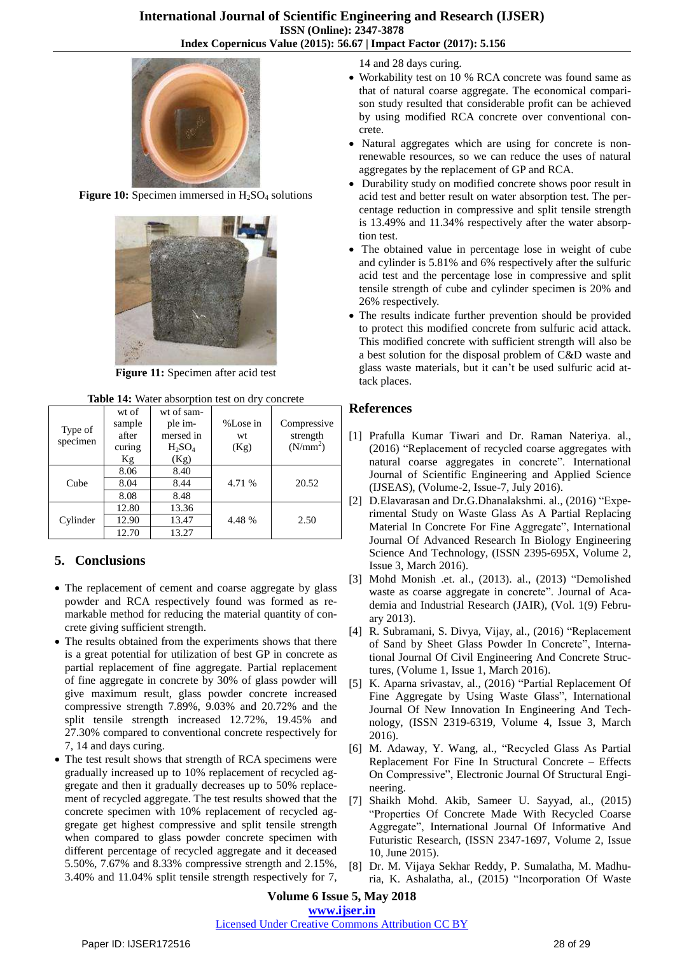

**Figure 10:** Specimen immersed in  $H_2SO_4$  solutions



**Figure 11:** Specimen after acid test

**Table 14:** Water absorption test on dry concrete

| Type of<br>specimen | wt of<br>sample<br>after<br>curing<br>Kg | wt of sam-<br>ple im-<br>mersed in<br>$H_2SO_4$<br>(Kg) | %Lose in<br>wt<br>(Kg) | Compressive<br>strength<br>(N/mm <sup>2</sup> ) |  |
|---------------------|------------------------------------------|---------------------------------------------------------|------------------------|-------------------------------------------------|--|
|                     | 8.06                                     | 8.40                                                    |                        |                                                 |  |
| Cube                | 8.04                                     | 8.44                                                    | 4.71 %                 | 20.52                                           |  |
|                     | 8.08                                     | 8.48                                                    |                        |                                                 |  |
|                     | 12.80                                    | 13.36                                                   |                        |                                                 |  |
| Cylinder            | 12.90                                    | 13.47                                                   | 4.48%                  | 2.50                                            |  |
|                     | 12.70                                    | 13.27                                                   |                        |                                                 |  |

# **5. Conclusions**

- The replacement of cement and coarse aggregate by glass powder and RCA respectively found was formed as remarkable method for reducing the material quantity of concrete giving sufficient strength.
- The results obtained from the experiments shows that there is a great potential for utilization of best GP in concrete as partial replacement of fine aggregate. Partial replacement of fine aggregate in concrete by 30% of glass powder will give maximum result, glass powder concrete increased compressive strength 7.89%, 9.03% and 20.72% and the split tensile strength increased 12.72%, 19.45% and 27.30% compared to conventional concrete respectively for 7, 14 and days curing.
- The test result shows that strength of RCA specimens were gradually increased up to 10% replacement of recycled aggregate and then it gradually decreases up to 50% replacement of recycled aggregate. The test results showed that the concrete specimen with 10% replacement of recycled aggregate get highest compressive and split tensile strength when compared to glass powder concrete specimen with different percentage of recycled aggregate and it deceased 5.50%, 7.67% and 8.33% compressive strength and 2.15%, 3.40% and 11.04% split tensile strength respectively for 7,

14 and 28 days curing.

- Workability test on 10 % RCA concrete was found same as that of natural coarse aggregate. The economical comparison study resulted that considerable profit can be achieved by using modified RCA concrete over conventional concrete.
- Natural aggregates which are using for concrete is nonrenewable resources, so we can reduce the uses of natural aggregates by the replacement of GP and RCA.
- Durability study on modified concrete shows poor result in acid test and better result on water absorption test. The percentage reduction in compressive and split tensile strength is 13.49% and 11.34% respectively after the water absorption test.
- The obtained value in percentage lose in weight of cube and cylinder is 5.81% and 6% respectively after the sulfuric acid test and the percentage lose in compressive and split tensile strength of cube and cylinder specimen is 20% and 26% respectively.
- The results indicate further prevention should be provided to protect this modified concrete from sulfuric acid attack. This modified concrete with sufficient strength will also be a best solution for the disposal problem of C&D waste and glass waste materials, but it can't be used sulfuric acid attack places.

# **References**

- [1] Prafulla Kumar Tiwari and Dr. Raman Nateriya. al., (2016) "Replacement of recycled coarse aggregates with natural coarse aggregates in concrete". International Journal of Scientific Engineering and Applied Science (IJSEAS), (Volume-2, Issue-7, July 2016).
- [2] D.Elavarasan and Dr.G.Dhanalakshmi. al., (2016) "Experimental Study on Waste Glass As A Partial Replacing Material In Concrete For Fine Aggregate", International Journal Of Advanced Research In Biology Engineering Science And Technology, (ISSN 2395-695X, Volume 2, Issue 3, March 2016).
- [3] Mohd Monish .et. al., (2013). al., (2013) "Demolished waste as coarse aggregate in concrete". Journal of Academia and Industrial Research (JAIR), (Vol. 1(9) February 2013).
- [4] R. Subramani, S. Divya, Vijay, al., (2016) "Replacement of Sand by Sheet Glass Powder In Concrete", International Journal Of Civil Engineering And Concrete Structures, (Volume 1, Issue 1, March 2016).
- [5] K. Aparna srivastav, al., (2016) "Partial Replacement Of Fine Aggregate by Using Waste Glass", International Journal Of New Innovation In Engineering And Technology, (ISSN 2319-6319, Volume 4, Issue 3, March 2016).
- [6] M. Adaway, Y. Wang, al., "Recycled Glass As Partial Replacement For Fine In Structural Concrete – Effects On Compressive", Electronic Journal Of Structural Engineering.
- [7] Shaikh Mohd. Akib, Sameer U. Sayyad, al., (2015) "Properties Of Concrete Made With Recycled Coarse Aggregate", International Journal Of Informative And Futuristic Research, (ISSN 2347-1697, Volume 2, Issue 10, June 2015).
- [8] Dr. M. Vijaya Sekhar Reddy, P. Sumalatha, M. Madhuria, K. Ashalatha, al., (2015) "Incorporation Of Waste

# **Volume 6 Issue 5, May 2018**

# **[www.ijser.in](file:///G:\www.ijser.in\Documents\www.ijser.in)**

# [Licensed Under Creative Commons Attribution CC BY](http://creativecommons.org/licenses/by/4.0/)